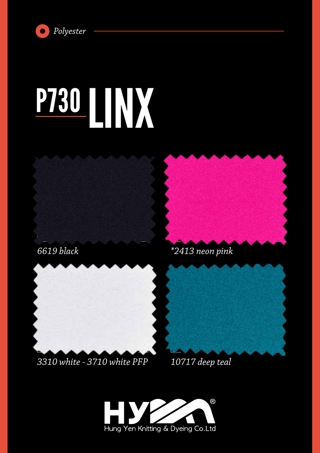

# **P730 111 X**



*6619 black*





### *3310 white - 3710 white PFP*



*10717 deep teal*